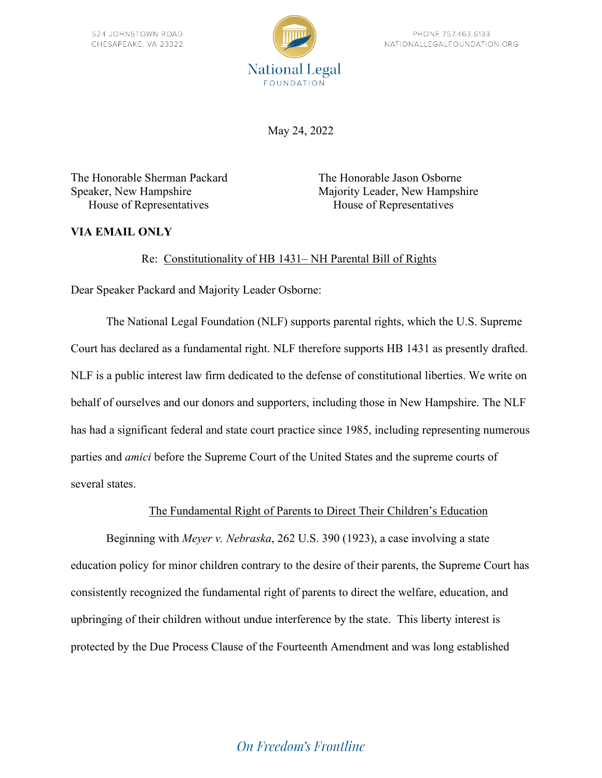

May 24, 2022

The Honorable Sherman Packard The Honorable Jason Osborne House of Representatives House of Representatives

Speaker, New Hampshire Majority Leader, New Hampshire

# **VIA EMAIL ONLY**

## Re: Constitutionality of HB 1431– NH Parental Bill of Rights

Dear Speaker Packard and Majority Leader Osborne:

The National Legal Foundation (NLF) supports parental rights, which the U.S. Supreme Court has declared as a fundamental right. NLF therefore supports HB 1431 as presently drafted. NLF is a public interest law firm dedicated to the defense of constitutional liberties. We write on behalf of ourselves and our donors and supporters, including those in New Hampshire. The NLF has had a significant federal and state court practice since 1985, including representing numerous parties and *amici* before the Supreme Court of the United States and the supreme courts of several states.

### The Fundamental Right of Parents to Direct Their Children's Education

Beginning with *Meyer v. Nebraska*, 262 U.S. 390 (1923), a case involving a state education policy for minor children contrary to the desire of their parents, the Supreme Court has consistently recognized the fundamental right of parents to direct the welfare, education, and upbringing of their children without undue interference by the state. This liberty interest is protected by the Due Process Clause of the Fourteenth Amendment and was long established

# **On Freedom's Frontline**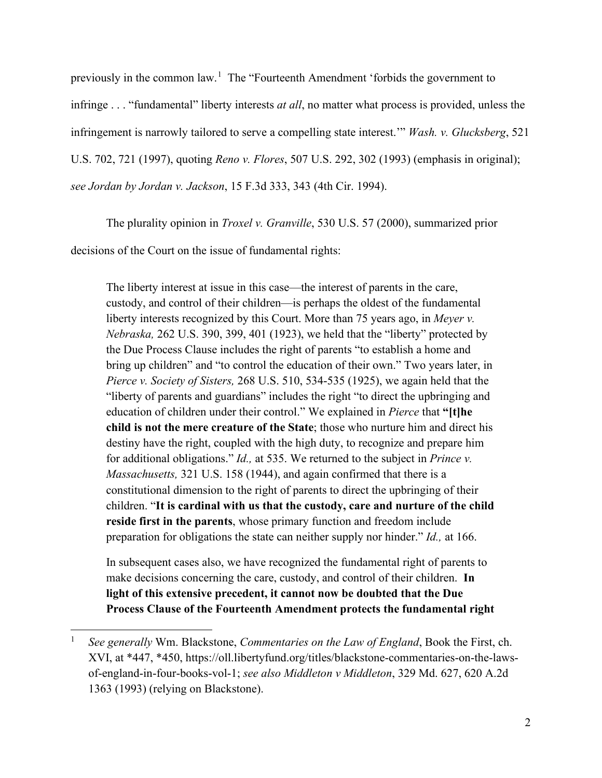previously in the common law.<sup>[1](#page-1-0)</sup> The "Fourteenth Amendment 'forbids the government to infringe . . . "fundamental" liberty interests *at all*, no matter what process is provided, unless the infringement is narrowly tailored to serve a compelling state interest.'" *Wash. v. Glucksberg*, 521 U.S. 702, 721 (1997), quoting *Reno v. Flores*, 507 U.S. 292, 302 (1993) (emphasis in original); *see Jordan by Jordan v. Jackson*, 15 F.3d 333, 343 (4th Cir. 1994).

The plurality opinion in *Troxel v. Granville*, 530 U.S. 57 (2000), summarized prior decisions of the Court on the issue of fundamental rights:

The liberty interest at issue in this case—the interest of parents in the care, custody, and control of their children—is perhaps the oldest of the fundamental liberty interests recognized by this Court. More than 75 years ago, in *Meyer v. Nebraska,* 262 U.S. 390, 399, 401 (1923), we held that the "liberty" protected by the Due Process Clause includes the right of parents "to establish a home and bring up children" and "to control the education of their own." Two years later, in *Pierce v. Society of Sisters,* 268 U.S. 510, 534-535 (1925), we again held that the "liberty of parents and guardians" includes the right "to direct the upbringing and education of children under their control." We explained in *Pierce* that **"[t]he child is not the mere creature of the State**; those who nurture him and direct his destiny have the right, coupled with the high duty, to recognize and prepare him for additional obligations." *Id.,* at 535. We returned to the subject in *Prince v. Massachusetts,* 321 U.S. 158 (1944), and again confirmed that there is a constitutional dimension to the right of parents to direct the upbringing of their children. "**It is cardinal with us that the custody, care and nurture of the child reside first in the parents**, whose primary function and freedom include preparation for obligations the state can neither supply nor hinder." *Id.,* at 166.

In subsequent cases also, we have recognized the fundamental right of parents to make decisions concerning the care, custody, and control of their children. **In light of this extensive precedent, it cannot now be doubted that the Due Process Clause of the Fourteenth Amendment protects the fundamental right** 

<span id="page-1-0"></span><sup>1</sup> *See generally* Wm. Blackstone, *Commentaries on the Law of England*, Book the First, ch. XVI, at \*447, \*450, https://oll.libertyfund.org/titles/blackstone-commentaries-on-the-lawsof-england-in-four-books-vol-1; *see also Middleton v Middleton*, 329 Md. 627, 620 A.2d 1363 (1993) (relying on Blackstone).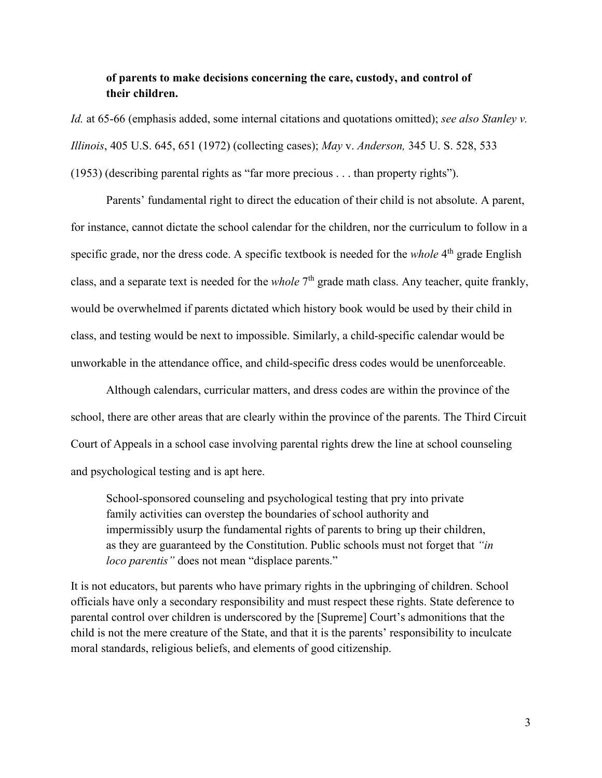### **of parents to make decisions concerning the care, custody, and control of their children.**

*Id.* at 65-66 (emphasis added, some internal citations and quotations omitted); *see also Stanley v. Illinois*, 405 U.S. 645, 651 (1972) (collecting cases); *May* v. *Anderson,* 345 U. S. 528, 533 (1953) (describing parental rights as "far more precious . . . than property rights").

Parents' fundamental right to direct the education of their child is not absolute. A parent, for instance, cannot dictate the school calendar for the children, nor the curriculum to follow in a specific grade, nor the dress code. A specific textbook is needed for the *whole* 4<sup>th</sup> grade English class, and a separate text is needed for the *whole* 7<sup>th</sup> grade math class. Any teacher, quite frankly, would be overwhelmed if parents dictated which history book would be used by their child in class, and testing would be next to impossible. Similarly, a child-specific calendar would be unworkable in the attendance office, and child-specific dress codes would be unenforceable.

Although calendars, curricular matters, and dress codes are within the province of the school, there are other areas that are clearly within the province of the parents. The Third Circuit Court of Appeals in a school case involving parental rights drew the line at school counseling and psychological testing and is apt here.

School-sponsored counseling and psychological testing that pry into private family activities can overstep the boundaries of school authority and impermissibly usurp the fundamental rights of parents to bring up their children, as they are guaranteed by the Constitution. Public schools must not forget that *"in loco parentis"* does not mean "displace parents."

It is not educators, but parents who have primary rights in the upbringing of children. School officials have only a secondary responsibility and must respect these rights. State deference to parental control over children is underscored by the [Supreme] Court's admonitions that the child is not the mere creature of the State, and that it is the parents' responsibility to inculcate moral standards, religious beliefs, and elements of good citizenship.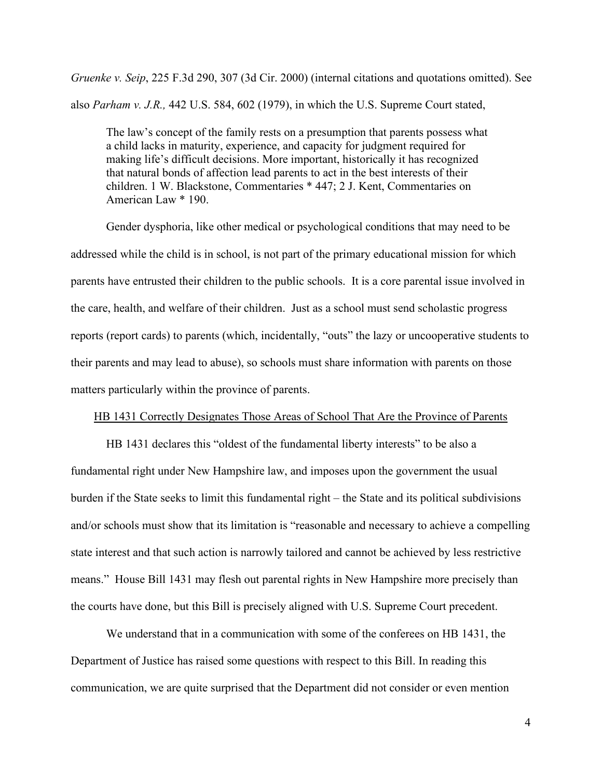*Gruenke v. Seip*, 225 F.3d 290, 307 (3d Cir. 2000) (internal citations and quotations omitted). See also *Parham v. J.R.,* 442 U.S. 584, 602 (1979), in which the U.S. Supreme Court stated,

The law's concept of the family rests on a presumption that parents possess what a child lacks in maturity, experience, and capacity for judgment required for making life's difficult decisions. More important, historically it has recognized that natural bonds of affection lead parents to act in the best interests of their children. 1 W. Blackstone, Commentaries \* 447; 2 J. Kent, Commentaries on American Law \* 190.

Gender dysphoria, like other medical or psychological conditions that may need to be addressed while the child is in school, is not part of the primary educational mission for which parents have entrusted their children to the public schools. It is a core parental issue involved in the care, health, and welfare of their children. Just as a school must send scholastic progress reports (report cards) to parents (which, incidentally, "outs" the lazy or uncooperative students to their parents and may lead to abuse), so schools must share information with parents on those matters particularly within the province of parents.

#### HB 1431 Correctly Designates Those Areas of School That Are the Province of Parents

HB 1431 declares this "oldest of the fundamental liberty interests" to be also a fundamental right under New Hampshire law, and imposes upon the government the usual burden if the State seeks to limit this fundamental right – the State and its political subdivisions and/or schools must show that its limitation is "reasonable and necessary to achieve a compelling state interest and that such action is narrowly tailored and cannot be achieved by less restrictive means." House Bill 1431 may flesh out parental rights in New Hampshire more precisely than the courts have done, but this Bill is precisely aligned with U.S. Supreme Court precedent.

We understand that in a communication with some of the conferees on HB 1431, the Department of Justice has raised some questions with respect to this Bill. In reading this communication, we are quite surprised that the Department did not consider or even mention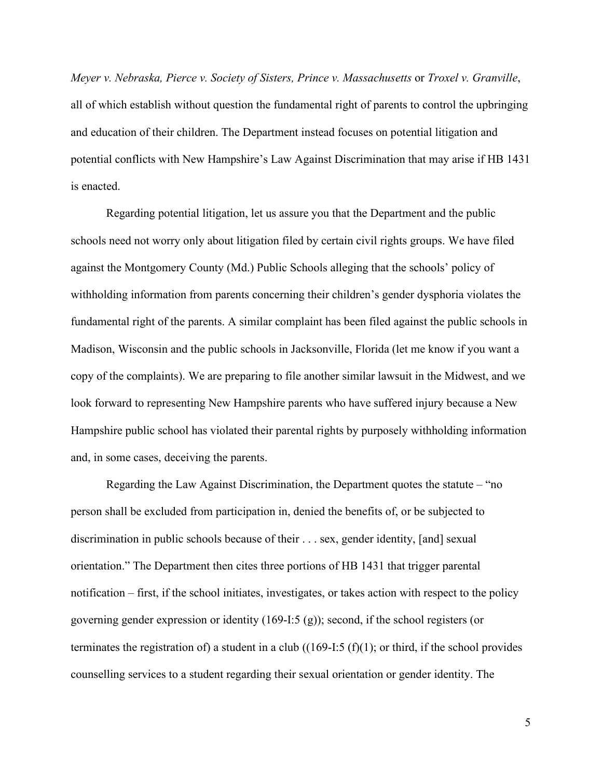*Meyer v. Nebraska, Pierce v. Society of Sisters, Prince v. Massachusetts* or *Troxel v. Granville*, all of which establish without question the fundamental right of parents to control the upbringing and education of their children. The Department instead focuses on potential litigation and potential conflicts with New Hampshire's Law Against Discrimination that may arise if HB 1431 is enacted.

Regarding potential litigation, let us assure you that the Department and the public schools need not worry only about litigation filed by certain civil rights groups. We have filed against the Montgomery County (Md.) Public Schools alleging that the schools' policy of withholding information from parents concerning their children's gender dysphoria violates the fundamental right of the parents. A similar complaint has been filed against the public schools in Madison, Wisconsin and the public schools in Jacksonville, Florida (let me know if you want a copy of the complaints). We are preparing to file another similar lawsuit in the Midwest, and we look forward to representing New Hampshire parents who have suffered injury because a New Hampshire public school has violated their parental rights by purposely withholding information and, in some cases, deceiving the parents.

Regarding the Law Against Discrimination, the Department quotes the statute – "no person shall be excluded from participation in, denied the benefits of, or be subjected to discrimination in public schools because of their . . . sex, gender identity, [and] sexual orientation." The Department then cites three portions of HB 1431 that trigger parental notification – first, if the school initiates, investigates, or takes action with respect to the policy governing gender expression or identity (169-I:5 (g)); second, if the school registers (or terminates the registration of) a student in a club  $((169-I:5 (f)(1))$ ; or third, if the school provides counselling services to a student regarding their sexual orientation or gender identity. The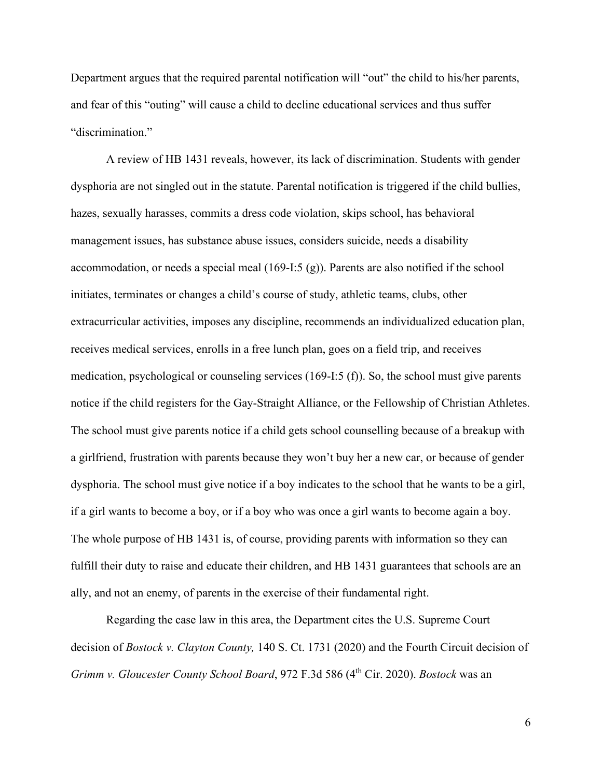Department argues that the required parental notification will "out" the child to his/her parents, and fear of this "outing" will cause a child to decline educational services and thus suffer "discrimination."

A review of HB 1431 reveals, however, its lack of discrimination. Students with gender dysphoria are not singled out in the statute. Parental notification is triggered if the child bullies, hazes, sexually harasses, commits a dress code violation, skips school, has behavioral management issues, has substance abuse issues, considers suicide, needs a disability accommodation, or needs a special meal  $(169-I:5(g))$ . Parents are also notified if the school initiates, terminates or changes a child's course of study, athletic teams, clubs, other extracurricular activities, imposes any discipline, recommends an individualized education plan, receives medical services, enrolls in a free lunch plan, goes on a field trip, and receives medication, psychological or counseling services (169-I:5 (f)). So, the school must give parents notice if the child registers for the Gay-Straight Alliance, or the Fellowship of Christian Athletes. The school must give parents notice if a child gets school counselling because of a breakup with a girlfriend, frustration with parents because they won't buy her a new car, or because of gender dysphoria. The school must give notice if a boy indicates to the school that he wants to be a girl, if a girl wants to become a boy, or if a boy who was once a girl wants to become again a boy. The whole purpose of HB 1431 is, of course, providing parents with information so they can fulfill their duty to raise and educate their children, and HB 1431 guarantees that schools are an ally, and not an enemy, of parents in the exercise of their fundamental right.

Regarding the case law in this area, the Department cites the U.S. Supreme Court decision of *Bostock v. Clayton County,* 140 S. Ct. 1731 (2020) and the Fourth Circuit decision of *Grimm v. Gloucester County School Board*, 972 F.3d 586 (4<sup>th</sup> Cir. 2020). *Bostock* was an

6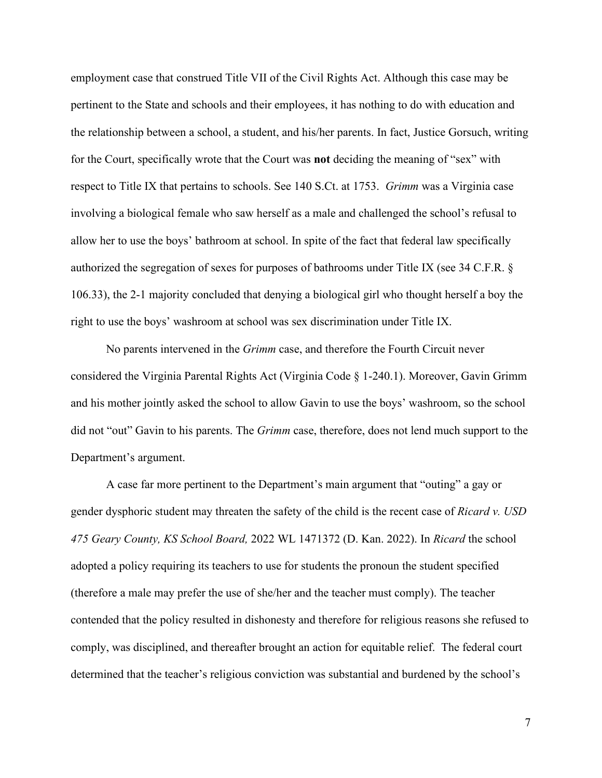employment case that construed Title VII of the Civil Rights Act. Although this case may be pertinent to the State and schools and their employees, it has nothing to do with education and the relationship between a school, a student, and his/her parents. In fact, Justice Gorsuch, writing for the Court, specifically wrote that the Court was **not** deciding the meaning of "sex" with respect to Title IX that pertains to schools. See 140 S.Ct. at 1753. *Grimm* was a Virginia case involving a biological female who saw herself as a male and challenged the school's refusal to allow her to use the boys' bathroom at school. In spite of the fact that federal law specifically authorized the segregation of sexes for purposes of bathrooms under Title IX (see 34 C.F.R. § 106.33), the 2-1 majority concluded that denying a biological girl who thought herself a boy the right to use the boys' washroom at school was sex discrimination under Title IX.

No parents intervened in the *Grimm* case, and therefore the Fourth Circuit never considered the Virginia Parental Rights Act (Virginia Code § 1-240.1). Moreover, Gavin Grimm and his mother jointly asked the school to allow Gavin to use the boys' washroom, so the school did not "out" Gavin to his parents. The *Grimm* case, therefore, does not lend much support to the Department's argument.

A case far more pertinent to the Department's main argument that "outing" a gay or gender dysphoric student may threaten the safety of the child is the recent case of *Ricard v. USD 475 Geary County, KS School Board,* 2022 WL 1471372 (D. Kan. 2022). In *Ricard* the school adopted a policy requiring its teachers to use for students the pronoun the student specified (therefore a male may prefer the use of she/her and the teacher must comply). The teacher contended that the policy resulted in dishonesty and therefore for religious reasons she refused to comply, was disciplined, and thereafter brought an action for equitable relief. The federal court determined that the teacher's religious conviction was substantial and burdened by the school's

7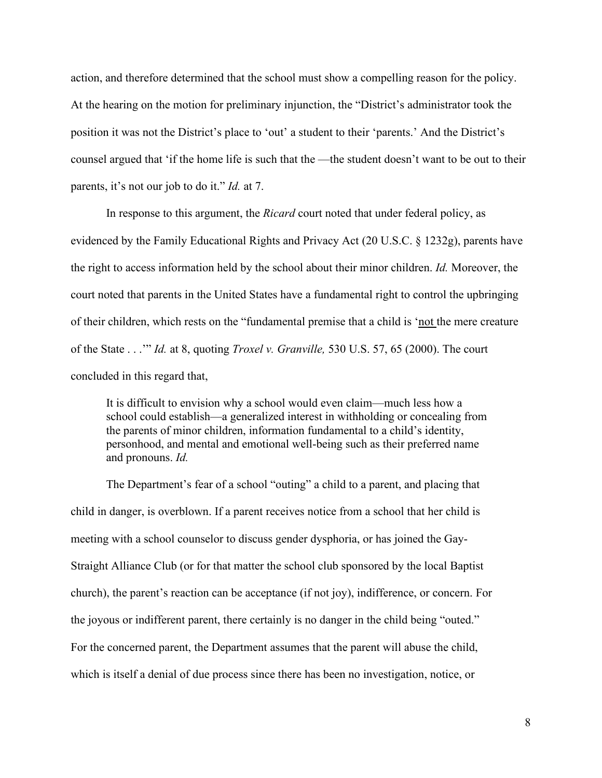action, and therefore determined that the school must show a compelling reason for the policy. At the hearing on the motion for preliminary injunction, the "District's administrator took the position it was not the District's place to 'out' a student to their 'parents.' And the District's counsel argued that 'if the home life is such that the —the student doesn't want to be out to their parents, it's not our job to do it." *Id.* at 7.

In response to this argument, the *Ricard* court noted that under federal policy, as evidenced by the Family Educational Rights and Privacy Act (20 U.S.C. § 1232g), parents have the right to access information held by the school about their minor children. *Id.* Moreover, the court noted that parents in the United States have a fundamental right to control the upbringing of their children, which rests on the "fundamental premise that a child is 'not the mere creature of the State . . .'" *Id.* at 8, quoting *Troxel v. Granville,* 530 U.S. 57, 65 (2000). The court concluded in this regard that,

It is difficult to envision why a school would even claim—much less how a school could establish—a generalized interest in withholding or concealing from the parents of minor children, information fundamental to a child's identity, personhood, and mental and emotional well-being such as their preferred name and pronouns. *Id.*

The Department's fear of a school "outing" a child to a parent, and placing that child in danger, is overblown. If a parent receives notice from a school that her child is meeting with a school counselor to discuss gender dysphoria, or has joined the Gay-Straight Alliance Club (or for that matter the school club sponsored by the local Baptist church), the parent's reaction can be acceptance (if not joy), indifference, or concern. For the joyous or indifferent parent, there certainly is no danger in the child being "outed." For the concerned parent, the Department assumes that the parent will abuse the child, which is itself a denial of due process since there has been no investigation, notice, or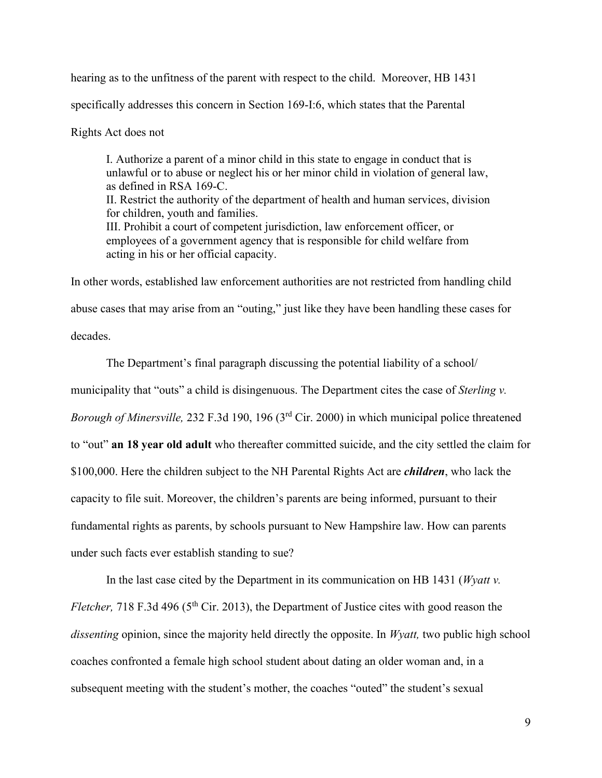hearing as to the unfitness of the parent with respect to the child. Moreover, HB 1431 specifically addresses this concern in Section 169-I:6, which states that the Parental

Rights Act does not

I. Authorize a parent of a minor child in this state to engage in conduct that is unlawful or to abuse or neglect his or her minor child in violation of general law, as defined in RSA 169-C. II. Restrict the authority of the department of health and human services, division for children, youth and families. III. Prohibit a court of competent jurisdiction, law enforcement officer, or employees of a government agency that is responsible for child welfare from acting in his or her official capacity.

In other words, established law enforcement authorities are not restricted from handling child abuse cases that may arise from an "outing," just like they have been handling these cases for decades.

The Department's final paragraph discussing the potential liability of a school/ municipality that "outs" a child is disingenuous. The Department cites the case of *Sterling v*. *Borough of Minersville,* 232 F.3d 190, 196 (3rd Cir. 2000) in which municipal police threatened to "out" **an 18 year old adult** who thereafter committed suicide, and the city settled the claim for \$100,000. Here the children subject to the NH Parental Rights Act are *children*, who lack the capacity to file suit. Moreover, the children's parents are being informed, pursuant to their fundamental rights as parents, by schools pursuant to New Hampshire law. How can parents under such facts ever establish standing to sue?

In the last case cited by the Department in its communication on HB 1431 (*Wyatt v. Fletcher, 718 F.3d 496 (5<sup>th</sup> Cir. 2013), the Department of Justice cites with good reason the dissenting* opinion, since the majority held directly the opposite. In *Wyatt,* two public high school coaches confronted a female high school student about dating an older woman and, in a subsequent meeting with the student's mother, the coaches "outed" the student's sexual